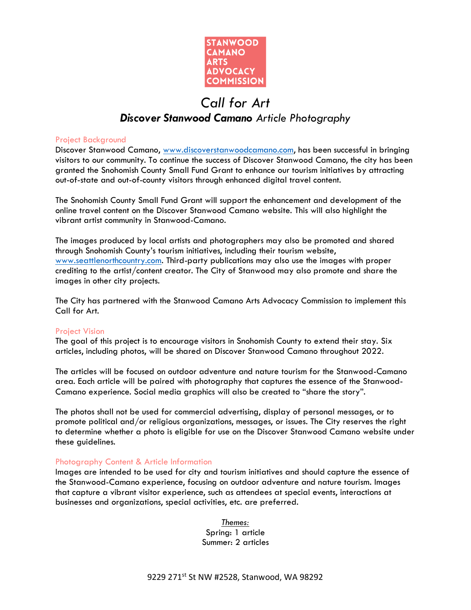

# *Call for Art*

# *Discover Stanwood Camano Article Photography*

# Project Background

Discover Stanwood Camano, [www.discoverstanwoodcamano.com,](http://www.discoverstanwoodcamano.com/) has been successful in bringing visitors to our community. To continue the success of Discover Stanwood Camano, the city has been granted the Snohomish County Small Fund Grant to enhance our tourism initiatives by attracting out-of-state and out-of-county visitors through enhanced digital travel content.

The Snohomish County Small Fund Grant will support the enhancement and development of the online travel content on the Discover Stanwood Camano website. This will also highlight the vibrant artist community in Stanwood-Camano.

The images produced by local artists and photographers may also be promoted and shared through Snohomish County's tourism initiatives, including their tourism website, [www.seattlenorthcountry.com.](http://www.seattlenorthcountry.com/) Third-party publications may also use the images with proper crediting to the artist/content creator. The City of Stanwood may also promote and share the images in other city projects.

The City has partnered with the Stanwood Camano Arts Advocacy Commission to implement this Call for Art.

#### Project Vision

The goal of this project is to encourage visitors in Snohomish County to extend their stay. Six articles, including photos, will be shared on Discover Stanwood Camano throughout 2022.

The articles will be focused on outdoor adventure and nature tourism for the Stanwood-Camano area. Each article will be paired with photography that captures the essence of the Stanwood-Camano experience. Social media graphics will also be created to "share the story".

The photos shall not be used for commercial advertising, display of personal messages, or to promote political and/or religious organizations, messages, or issues. The City reserves the right to determine whether a photo is eligible for use on the Discover Stanwood Camano website under these guidelines.

#### Photography Content & Article Information

Images are intended to be used for city and tourism initiatives and should capture the essence of the Stanwood-Camano experience, focusing on outdoor adventure and nature tourism. Images that capture a vibrant visitor experience, such as attendees at special events, interactions at businesses and organizations, special activities, etc. are preferred.

> *Themes:* Spring: 1 article Summer: 2 articles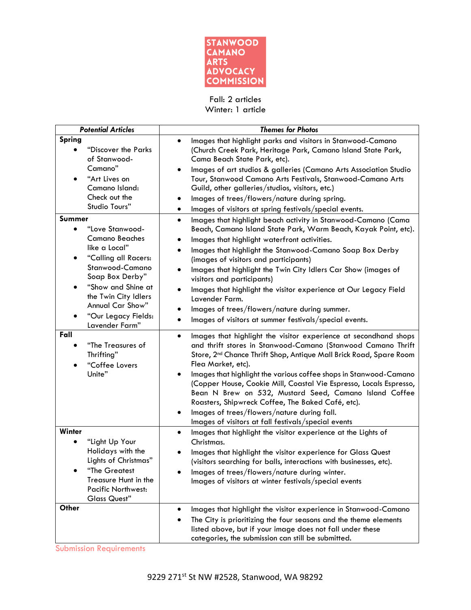

Fall: 2 articles Winter: 1 article

| <b>Potential Articles</b>                                                                                                                                                                                                                                 | <b>Themes for Photos</b>                                                                                                                                                                                                                                                                                                                                                                                                                                                                                                                                                                                                                                                        |
|-----------------------------------------------------------------------------------------------------------------------------------------------------------------------------------------------------------------------------------------------------------|---------------------------------------------------------------------------------------------------------------------------------------------------------------------------------------------------------------------------------------------------------------------------------------------------------------------------------------------------------------------------------------------------------------------------------------------------------------------------------------------------------------------------------------------------------------------------------------------------------------------------------------------------------------------------------|
| Spring<br>"Discover the Parks<br>of Stanwood-<br>Camano"<br>"Art Lives on<br>Camano Island:<br>Check out the<br>Studio Tours"                                                                                                                             | Images that highlight parks and visitors in Stanwood-Camano<br>$\bullet$<br>(Church Creek Park, Heritage Park, Camano Island State Park,<br>Cama Beach State Park, etc).<br>Images of art studios & galleries (Camano Arts Association Studio<br>$\bullet$<br>Tour, Stanwood Camano Arts Festivals, Stanwood-Camano Arts<br>Guild, other galleries/studios, visitors, etc.)<br>Images of trees/flowers/nature during spring.                                                                                                                                                                                                                                                    |
| Summer<br>"Love Stanwood-<br>$\bullet$<br><b>Camano Beaches</b><br>like a Local"<br>"Calling all Racers:<br>Stanwood-Camano<br>Soap Box Derby"<br>"Show and Shine at<br>the Twin City Idlers<br>Annual Car Show"<br>"Our Legacy Fields:<br>Lavender Farm" | Images of visitors at spring festivals/special events.<br>٠<br>Images that highlight beach activity in Stanwood-Camano (Cama<br>$\bullet$<br>Beach, Camano Island State Park, Warm Beach, Kayak Point, etc).<br>Images that highlight waterfront activities.<br>$\bullet$<br>Images that highlight the Stanwood-Camano Soap Box Derby<br>(images of visitors and participants)<br>Images that highlight the Twin City Idlers Car Show (images of<br>visitors and participants)<br>Images that highlight the visitor experience at Our Legacy Field<br>Lavender Farm.<br>Images of trees/flowers/nature during summer.<br>Images of visitors at summer festivals/special events. |
| Fall<br>"The Treasures of<br>Thrifting"<br>"Coffee Lovers<br>Unite"                                                                                                                                                                                       | Images that highlight the visitor experience at secondhand shops<br>$\bullet$<br>and thrift stores in Stanwood-Camano (Stanwood Camano Thrift<br>Store, 2 <sup>nd</sup> Chance Thrift Shop, Antique Mall Brick Road, Spare Room<br>Flea Market, etc).<br>Images that highlight the various coffee shops in Stanwood-Camano<br>٠<br>(Copper House, Cookie Mill, Coastal Vie Espresso, Locals Espresso,<br>Bean N Brew on 532, Mustard Seed, Camano Island Coffee<br>Roasters, Shipwreck Coffee, The Baked Café, etc).<br>Images of trees/flowers/nature during fall.<br>$\bullet$<br>Images of visitors at fall festivals/special events                                         |
| Winter<br>"Light Up Your<br>Holidays with the<br>Lights of Christmas"<br><b>The Greatest</b><br>Treasure Hunt in the<br><b>Pacific Northwest:</b><br><b>Glass Quest"</b>                                                                                  | Images that highlight the visitor experience at the Lights of<br>$\bullet$<br>Christmas.<br>Images that highlight the visitor experience for Glass Quest<br>(visitors searching for balls, interactions with businesses, etc).<br>Images of trees/flowers/nature during winter.<br>Images of visitors at winter festivals/special events                                                                                                                                                                                                                                                                                                                                        |
| Other                                                                                                                                                                                                                                                     | Images that highlight the visitor experience in Stanwood-Camano<br>٠<br>The City is prioritizing the four seasons and the theme elements<br>listed above, but if your image does not fall under these<br>categories, the submission can still be submitted.                                                                                                                                                                                                                                                                                                                                                                                                                     |

Submission Requirements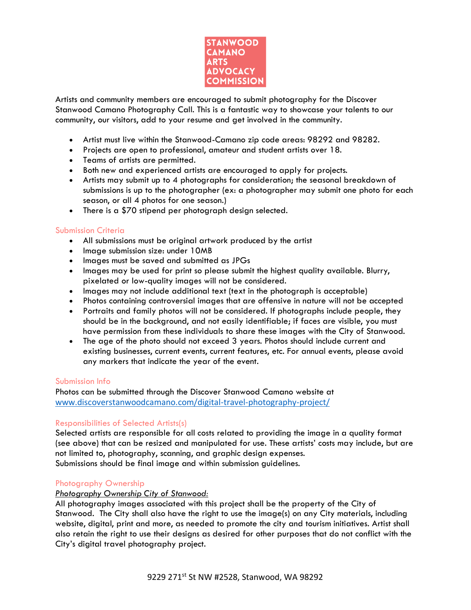

Artists and community members are encouraged to submit photography for the Discover Stanwood Camano Photography Call. This is a fantastic way to showcase your talents to our community, our visitors, add to your resume and get involved in the community.

- Artist must live within the Stanwood-Camano zip code areas: 98292 and 98282.
- Projects are open to professional, amateur and student artists over 18.
- Teams of artists are permitted.
- Both new and experienced artists are encouraged to apply for projects.
- Artists may submit up to 4 photographs for consideration; the seasonal breakdown of submissions is up to the photographer (ex: a photographer may submit one photo for each season, or all 4 photos for one season.)
- There is a \$70 stipend per photograph design selected.

#### Submission Criteria

- All submissions must be original artwork produced by the artist
- Image submission size: under 10MB
- Images must be saved and submitted as JPGs
- Images may be used for print so please submit the highest quality available. Blurry, pixelated or low-quality images will not be considered.
- Images may not include additional text (text in the photograph is acceptable)
- Photos containing controversial images that are offensive in nature will not be accepted
- Portraits and family photos will not be considered. If photographs include people, they should be in the background, and not easily identifiable; if faces are visible, you must have permission from these individuals to share these images with the City of Stanwood.
- The age of the photo should not exceed 3 years. Photos should include current and existing businesses, current events, current features, etc. For annual events, please avoid any markers that indicate the year of the event.

#### Submission Info

Photos can be submitted through the Discover Stanwood Camano website at [www.discoverstanwoodcamano.com/digital-travel-photography-project/](http://www.discoverstanwoodcamano.com/digital-travel-photography-project/)

#### Responsibilities of Selected Artists(s)

Selected artists are responsible for all costs related to providing the image in a quality format (see above) that can be resized and manipulated for use. These artists' costs may include, but are not limited to, photography, scanning, and graphic design expenses. Submissions should be final image and within submission guidelines.

#### Photography Ownership

#### *Photography Ownership City of Stanwood:*

All photography images associated with this project shall be the property of the City of Stanwood. The City shall also have the right to use the image(s) on any City materials, including website, digital, print and more, as needed to promote the city and tourism initiatives. Artist shall also retain the right to use their designs as desired for other purposes that do not conflict with the City's digital travel photography project.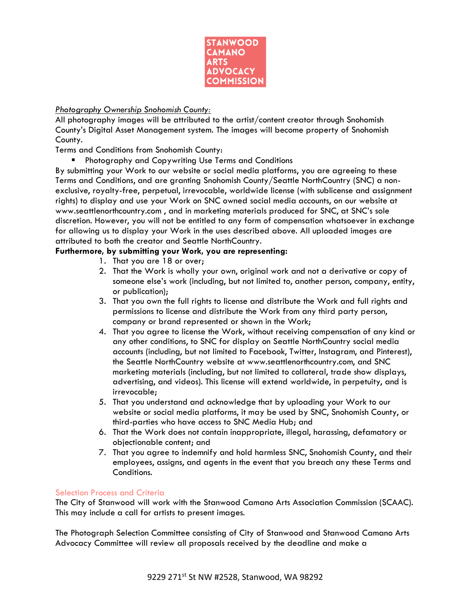

# *Photography Ownership Snohomish County:*

All photography images will be attributed to the artist/content creator through Snohomish County's Digital Asset Management system. The images will become property of Snohomish County.

Terms and Conditions from Snohomish County:

■ Photography and Copywriting Use Terms and Conditions

By submitting your Work to our website or social media platforms, you are agreeing to these Terms and Conditions, and are granting Snohomish County/Seattle NorthCountry (SNC) a nonexclusive, royalty-free, perpetual, irrevocable, worldwide license (with sublicense and assignment rights) to display and use your Work on SNC owned social media accounts, on our website at www.seattlenorthcountry.com , and in marketing materials produced for SNC, at SNC's sole discretion. However, you will not be entitled to any form of compensation whatsoever in exchange for allowing us to display your Work in the uses described above. All uploaded images are attributed to both the creator and Seattle NorthCountry.

# **Furthermore, by submitting your Work, you are representing:**

- 1. That you are 18 or over;
- 2. That the Work is wholly your own, original work and not a derivative or copy of someone else's work (including, but not limited to, another person, company, entity, or publication);
- 3. That you own the full rights to license and distribute the Work and full rights and permissions to license and distribute the Work from any third party person, company or brand represented or shown in the Work;
- 4. That you agree to license the Work, without receiving compensation of any kind or any other conditions, to SNC for display on Seattle NorthCountry social media accounts (including, but not limited to Facebook, Twitter, Instagram, and Pinterest), the Seattle NorthCountry website at www.seattlenorthcountry.com, and SNC marketing materials (including, but not limited to collateral, trade show displays, advertising, and videos). This license will extend worldwide, in perpetuity, and is irrevocable;
- 5. That you understand and acknowledge that by uploading your Work to our website or social media platforms, it may be used by SNC, Snohomish County, or third-parties who have access to SNC Media Hub; and
- 6. That the Work does not contain inappropriate, illegal, harassing, defamatory or objectionable content; and
- 7. That you agree to indemnify and hold harmless SNC, Snohomish County, and their employees, assigns, and agents in the event that you breach any these Terms and Conditions.

# Selection Process and Criteria

The City of Stanwood will work with the Stanwood Camano Arts Association Commission (SCAAC). This may include a call for artists to present images.

The Photograph Selection Committee consisting of City of Stanwood and Stanwood Camano Arts Advocacy Committee will review all proposals received by the deadline and make a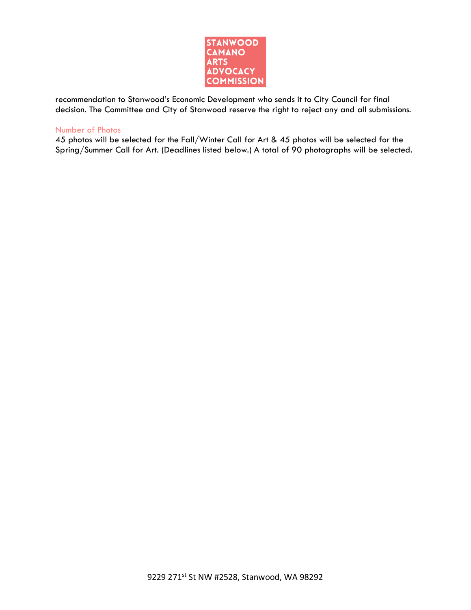

recommendation to Stanwood's Economic Development who sends it to City Council for final decision. The Committee and City of Stanwood reserve the right to reject any and all submissions.

#### Number of Photos

45 photos will be selected for the Fall/Winter Call for Art & 45 photos will be selected for the Spring/Summer Call for Art. (Deadlines listed below.) A total of 90 photographs will be selected.